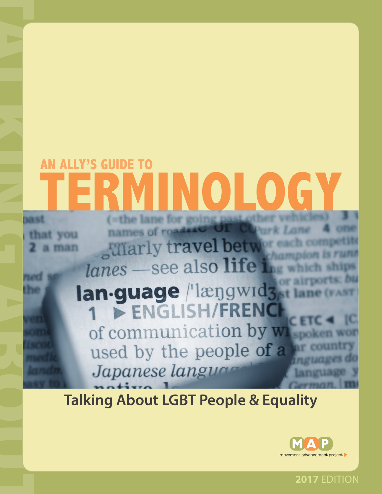# **EXAMPLE ABOUT ABOUT A SURVEY AND LOGY**<br> **TALKING ABOUT A SURVEY AND A SURVEY AND A SURVEY AND SURVEY AND SURVEY AND SURVEY AND SURVEY AND SURVEY AND SURVEY AND TRINOR A SURVEY TRINOR TRINOR TRINOR TRINOR TRINOR TRINOR TRI** LY'S GUIDE

# **Talking About LGBT People & Equality**



**2017** EDITION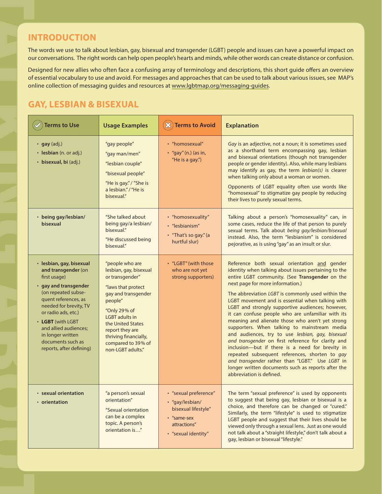## **GAY, LESBIAN & BISEXUAL**

|                                                                                                                                                                                                                                                                                                              |                                                                                                                                                                                                                                                                           |                                                                                                                       | our conversations. The right words can help open people's hearts and minds, while other words can create distance or confusion<br>Designed for new allies who often face a confusing array of terminology and descriptions, this short guide offers an overviev                                                                                                                                                                                                                                                                                                                                                                                                                                                                                                                                                                                                      |
|--------------------------------------------------------------------------------------------------------------------------------------------------------------------------------------------------------------------------------------------------------------------------------------------------------------|---------------------------------------------------------------------------------------------------------------------------------------------------------------------------------------------------------------------------------------------------------------------------|-----------------------------------------------------------------------------------------------------------------------|----------------------------------------------------------------------------------------------------------------------------------------------------------------------------------------------------------------------------------------------------------------------------------------------------------------------------------------------------------------------------------------------------------------------------------------------------------------------------------------------------------------------------------------------------------------------------------------------------------------------------------------------------------------------------------------------------------------------------------------------------------------------------------------------------------------------------------------------------------------------|
| online collection of messaging guides and resources at www.lgbtmap.org/messaging-guides.                                                                                                                                                                                                                     |                                                                                                                                                                                                                                                                           |                                                                                                                       | of essential vocabulary to use and avoid. For messages and approaches that can be used to talk about various issues, see MAP's                                                                                                                                                                                                                                                                                                                                                                                                                                                                                                                                                                                                                                                                                                                                       |
| <b>GAY, LESBIAN &amp; BISEXUAL</b>                                                                                                                                                                                                                                                                           |                                                                                                                                                                                                                                                                           |                                                                                                                       |                                                                                                                                                                                                                                                                                                                                                                                                                                                                                                                                                                                                                                                                                                                                                                                                                                                                      |
| <b>Terms to Use</b>                                                                                                                                                                                                                                                                                          | <b>Usage Examples</b>                                                                                                                                                                                                                                                     | $(\infty)$<br><b>Terms to Avoid</b>                                                                                   | <b>Explanation</b>                                                                                                                                                                                                                                                                                                                                                                                                                                                                                                                                                                                                                                                                                                                                                                                                                                                   |
| $\cdot$ gay (adj.)<br>· lesbian (n. or adj.)<br>· bisexual, bi (adj.)                                                                                                                                                                                                                                        | "gay people"<br>"gay man/men"<br>"lesbian couple"<br>"bisexual people"<br>"He is gay." / "She is<br>a lesbian." / "He is<br>bisexual."                                                                                                                                    | • "homosexual"<br>$\cdot$ "gay" (n.) (as in,<br>"He is a gay.")                                                       | Gay is an adjective, not a noun; it is sometimes used<br>as a shorthand term encompassing gay, lesbian<br>and bisexual orientations (though not transgender<br>people or gender identity). Also, while many lesbians<br>may identify as gay, the term lesbian(s) is clearer<br>when talking only about a woman or women.<br>Opponents of LGBT equality often use words like<br>"homosexual" to stigmatize gay people by reducing<br>their lives to purely sexual terms.                                                                                                                                                                                                                                                                                                                                                                                              |
| • being gay/lesbian/<br>bisexual                                                                                                                                                                                                                                                                             | "She talked about<br>being gay/a lesbian/<br>bisexual."<br>"He discussed being<br>bisexual."                                                                                                                                                                              | • "homosexuality"<br>• "lesbianism"<br>• "That's so gay." (a<br>hurtful slur)                                         | Talking about a person's "homosexuality" can, in<br>some cases, reduce the life of that person to purely<br>sexual terms. Talk about being gay/lesbian/bisexual<br>instead. Also, the term "lesbianism" is considered<br>pejorative, as is using "gay" as an insult or slur.                                                                                                                                                                                                                                                                                                                                                                                                                                                                                                                                                                                         |
| · lesbian, gay, bisexual<br>and transgender (on<br>first usage)<br>• gay and transgender<br>(on repeated subse-<br>quent references, as<br>needed for brevity, TV<br>or radio ads, etc.)<br>• LGBT (with LGBT<br>and allied audiences;<br>in longer written<br>documents such as<br>reports, after defining) | "people who are<br>lesbian, gay, bisexual<br>or transgender"<br>"laws that protect<br>gay and transgender<br>people"<br>"Only 29% of<br><b>LGBT</b> adults in<br>the United States<br>report they are<br>thriving financially,<br>compared to 39% of<br>non-LGBT adults." | "LGBT" (with those<br>who are not yet<br>strong supporters)                                                           | Reference both sexual orientation and gender<br>identity when talking about issues pertaining to the<br>entire LGBT community. (See Transgender on the<br>next page for more information.)<br>The abbreviation LGBT is commonly used within the<br>LGBT movement and is essential when talking with<br>LGBT and strongly supportive audiences; however,<br>it can confuse people who are unfamiliar with its<br>meaning and alienate those who aren't yet strong<br>supporters. When talking to mainstream media<br>and audiences, try to use lesbian, gay, bisexual<br>and transgender on first reference for clarity and<br>inclusion-but if there is a need for brevity in<br>repeated subsequent references, shorten to gay<br>and transgender rather than "LGBT." Use LGBT in<br>longer written documents such as reports after the<br>abbreviation is defined. |
| • sexual orientation<br>• orientation                                                                                                                                                                                                                                                                        | "a person's sexual<br>orientation"<br>"Sexual orientation<br>can be a complex<br>topic. A person's<br>orientation is"                                                                                                                                                     | • "sexual preference"<br>· "gay/lesbian/<br>bisexual lifestyle"<br>• "same-sex<br>attractions"<br>• "sexual identity" | The term "sexual preference" is used by opponents<br>to suggest that being gay, lesbian or bisexual is a<br>choice, and therefore can be changed or "cured."<br>Similarly, the term "lifestyle" is used to stigmatize<br>LGBT people and suggest that their lives should be<br>viewed only through a sexual lens. Just as one would<br>not talk about a "straight lifestyle," don't talk about a<br>gay, lesbian or bisexual "lifestyle."                                                                                                                                                                                                                                                                                                                                                                                                                            |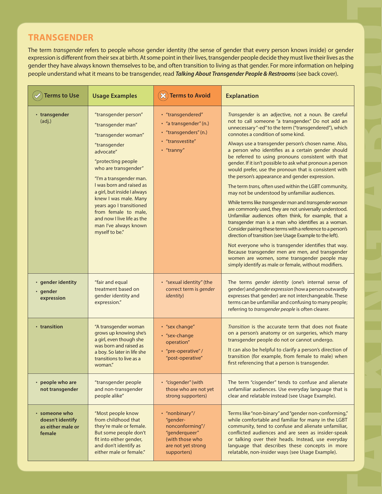# **TRANSGENDER**

| <b>Terms to Use</b>                                              | <b>Usage Examples</b>                                                                                                                                                                                                                                                                                                                                                                   | <b>Terms to Avoid</b>                                                                                                  | gender they have always known themselves to be, and often transition to living as that gender. For more information on helping<br>people understand what it means to be transgender, read Talking About Transgender People & Restrooms (see back cover).<br><b>Explanation</b>                                                                                                                                                                                                                                                                                                                                                                                                                                                                                                                                                                                                                                                                                                                                                                                                                                                                                                                                                                        |
|------------------------------------------------------------------|-----------------------------------------------------------------------------------------------------------------------------------------------------------------------------------------------------------------------------------------------------------------------------------------------------------------------------------------------------------------------------------------|------------------------------------------------------------------------------------------------------------------------|-------------------------------------------------------------------------------------------------------------------------------------------------------------------------------------------------------------------------------------------------------------------------------------------------------------------------------------------------------------------------------------------------------------------------------------------------------------------------------------------------------------------------------------------------------------------------------------------------------------------------------------------------------------------------------------------------------------------------------------------------------------------------------------------------------------------------------------------------------------------------------------------------------------------------------------------------------------------------------------------------------------------------------------------------------------------------------------------------------------------------------------------------------------------------------------------------------------------------------------------------------|
| • transgender<br>(adj.)                                          | "transgender person"<br>"transgender man"<br>"transgender woman"<br>"transgender<br>advocate"<br>"protecting people<br>who are transgender"<br>"I'm a transgender man.<br>I was born and raised as<br>a girl, but inside I always<br>knew I was male. Many<br>years ago I transitioned<br>from female to male,<br>and now I live life as the<br>man I've always known<br>myself to be." | • "transgendered"<br>· "a transgender" (n.)<br>• "transgenders" (n.)<br>• "transvestite"<br>• "tranny"                 | Transgender is an adjective, not a noun. Be careful<br>not to call someone "a transgender." Do not add an<br>unnecessary "-ed" to the term ("transgendered"), which<br>connotes a condition of some kind.<br>Always use a transgender person's chosen name. Also,<br>a person who identifies as a certain gender should<br>be referred to using pronouns consistent with that<br>gender. If it isn't possible to ask what pronoun a person<br>would prefer, use the pronoun that is consistent with<br>the person's appearance and gender expression.<br>The term trans, often used within the LGBT community,<br>may not be understood by unfamiliar audiences.<br>While terms like transgender man and transgender woman<br>are commonly used, they are not universally understood.<br>Unfamiliar audiences often think, for example, that a<br>transgender man is a man who identifies as a woman.<br>Consider pairing these terms with a reference to a person's<br>direction of transition (see Usage Example to the left).<br>Not everyone who is transgender identifies that way.<br>Because transgender men are men, and transgender<br>women are women, some transgender people may<br>simply identify as male or female, without modifiers. |
| · gender identity<br>· gender<br>expression                      | "fair and equal<br>treatment based on<br>gender identity and<br>expression."                                                                                                                                                                                                                                                                                                            | • "sexual identity" (the<br>correct term is gender<br><i>identity</i> )                                                | The terms gender identity (one's internal sense of<br>gender) and <i>gender expression</i> (how a person outwardly<br>expresses that gender) are not interchangeable. These<br>terms can be unfamiliar and confusing to many people;<br>referring to transgender people is often clearer.                                                                                                                                                                                                                                                                                                                                                                                                                                                                                                                                                                                                                                                                                                                                                                                                                                                                                                                                                             |
| • transition                                                     | "A transgender woman<br>grows up knowing she's<br>a girl, even though she<br>was born and raised as<br>a boy. So later in life she<br>transitions to live as a<br>woman."                                                                                                                                                                                                               | • "sex change"<br>• "sex-change<br>operation"<br>• "pre-operative" /<br>"post-operative"                               | Transition is the accurate term that does not fixate<br>on a person's anatomy or on surgeries, which many<br>transgender people do not or cannot undergo.<br>It can also be helpful to clarify a person's direction of<br>transition (for example, from female to male) when<br>first referencing that a person is transgender.                                                                                                                                                                                                                                                                                                                                                                                                                                                                                                                                                                                                                                                                                                                                                                                                                                                                                                                       |
| • people who are<br>not transgender                              | "transgender people<br>and non-transgender<br>people alike"                                                                                                                                                                                                                                                                                                                             | • "cisgender" (with<br>those who are not yet<br>strong supporters)                                                     | The term "cisgender" tends to confuse and alienate<br>unfamiliar audiences. Use everyday language that is<br>clear and relatable instead (see Usage Example).                                                                                                                                                                                                                                                                                                                                                                                                                                                                                                                                                                                                                                                                                                                                                                                                                                                                                                                                                                                                                                                                                         |
| • someone who<br>doesn't identify<br>as either male or<br>female | "Most people know<br>from childhood that<br>they're male or female.<br>But some people don't<br>fit into either gender,<br>and don't identify as<br>either male or female."                                                                                                                                                                                                             | • "nonbinary"/<br>"gender-<br>nonconforming"/<br>"genderqueer"<br>(with those who<br>are not yet strong<br>supporters) | Terms like "non-binary" and "gender non-conforming,"<br>while comfortable and familiar for many in the LGBT<br>community, tend to confuse and alienate unfamiliar,<br>conflicted audiences and are seen as insider-speak<br>or talking over their heads. Instead, use everyday<br>language that describes these concepts in more<br>relatable, non-insider ways (see Usage Example).                                                                                                                                                                                                                                                                                                                                                                                                                                                                                                                                                                                                                                                                                                                                                                                                                                                                  |